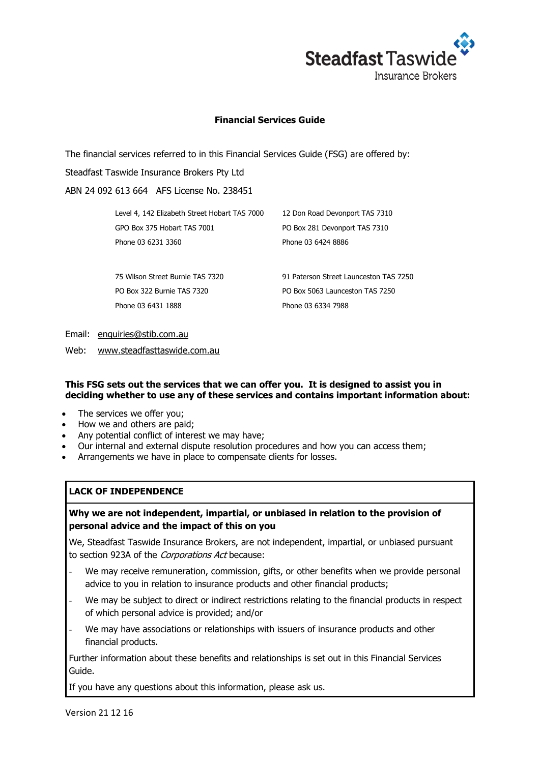

## **Financial Services Guide**

The financial services referred to in this Financial Services Guide (FSG) are offered by:

Steadfast Taswide Insurance Brokers Pty Ltd

ABN 24 092 613 664 AFS License No. 238451

| Level 4, 142 Elizabeth Street Hobart TAS 7000 | 12 Don Road Devonport TAS 7310         |  |
|-----------------------------------------------|----------------------------------------|--|
| GPO Box 375 Hobart TAS 7001                   | PO Box 281 Devonport TAS 7310          |  |
| Phone 03 6231 3360                            | Phone 03 6424 8886                     |  |
|                                               |                                        |  |
| 75 Wilson Street Burnie TAS 7320              | 91 Paterson Street Launceston TAS 7250 |  |
| PO Box 322 Burnie TAS 7320                    | PO Box 5063 Launceston TAS 7250        |  |
| Phone 03 6431 1888                            | Phone 03 6334 7988                     |  |

Email: [enquiries@stib.com.au](mailto:enquiries@stib.com.au)

Web: [www.steadfasttaswide.com.au](http://www.steadfasttaswide.com.au/)

### **This FSG sets out the services that we can offer you. It is designed to assist you in deciding whether to use any of these services and contains important information about:**

- The services we offer you:
- How we and others are paid;
- Any potential conflict of interest we may have;
- Our internal and external dispute resolution procedures and how you can access them;
- Arrangements we have in place to compensate clients for losses.

# **LACK OF INDEPENDENCE**

# **Why we are not independent, impartial, or unbiased in relation to the provision of personal advice and the impact of this on you**

We, Steadfast Taswide Insurance Brokers, are not independent, impartial, or unbiased pursuant to section 923A of the Corporations Act because:

- We may receive remuneration, commission, gifts, or other benefits when we provide personal advice to you in relation to insurance products and other financial products;
- We may be subject to direct or indirect restrictions relating to the financial products in respect of which personal advice is provided; and/or
- We may have associations or relationships with issuers of insurance products and other financial products.

Further information about these benefits and relationships is set out in this Financial Services Guide.

If you have any questions about this information, please ask us.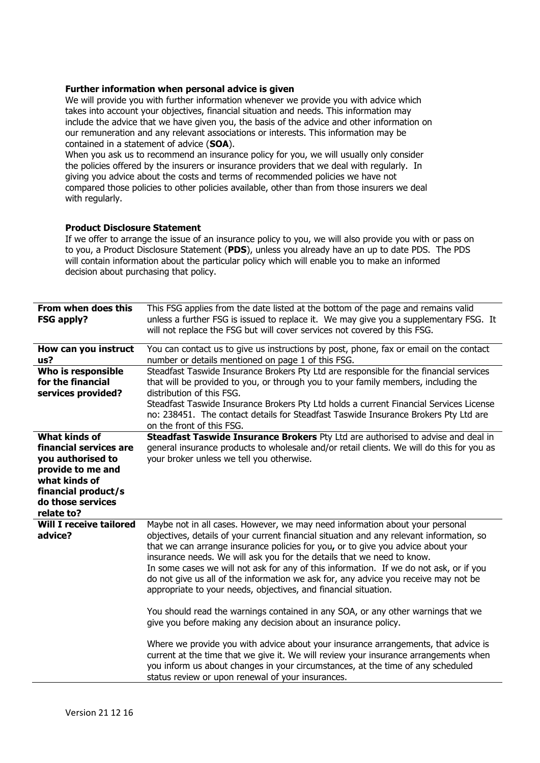### **Further information when personal advice is given**

We will provide you with further information whenever we provide you with advice which takes into account your objectives, financial situation and needs. This information may include the advice that we have given you, the basis of the advice and other information on our remuneration and any relevant associations or interests. This information may be contained in a statement of advice (**SOA**).

When you ask us to recommend an insurance policy for you, we will usually only consider the policies offered by the insurers or insurance providers that we deal with regularly. In giving you advice about the costs and terms of recommended policies we have not compared those policies to other policies available, other than from those insurers we deal with regularly.

### **Product Disclosure Statement**

If we offer to arrange the issue of an insurance policy to you, we will also provide you with or pass on to you, a Product Disclosure Statement (**PDS**), unless you already have an up to date PDS. The PDS will contain information about the particular policy which will enable you to make an informed decision about purchasing that policy.

| From when does this<br><b>FSG apply?</b>                                                                                                                     | This FSG applies from the date listed at the bottom of the page and remains valid<br>unless a further FSG is issued to replace it. We may give you a supplementary FSG. It<br>will not replace the FSG but will cover services not covered by this FSG.                                                                                                                                                                                                                                                                                                                                                                                                                        |
|--------------------------------------------------------------------------------------------------------------------------------------------------------------|--------------------------------------------------------------------------------------------------------------------------------------------------------------------------------------------------------------------------------------------------------------------------------------------------------------------------------------------------------------------------------------------------------------------------------------------------------------------------------------------------------------------------------------------------------------------------------------------------------------------------------------------------------------------------------|
| How can you instruct<br>us?                                                                                                                                  | You can contact us to give us instructions by post, phone, fax or email on the contact<br>number or details mentioned on page 1 of this FSG.                                                                                                                                                                                                                                                                                                                                                                                                                                                                                                                                   |
| Who is responsible<br>for the financial<br>services provided?                                                                                                | Steadfast Taswide Insurance Brokers Pty Ltd are responsible for the financial services<br>that will be provided to you, or through you to your family members, including the<br>distribution of this FSG.<br>Steadfast Taswide Insurance Brokers Pty Ltd holds a current Financial Services License<br>no: 238451. The contact details for Steadfast Taswide Insurance Brokers Pty Ltd are<br>on the front of this FSG.                                                                                                                                                                                                                                                        |
| What kinds of<br>financial services are<br>you authorised to<br>provide to me and<br>what kinds of<br>financial product/s<br>do those services<br>relate to? | Steadfast Taswide Insurance Brokers Pty Ltd are authorised to advise and deal in<br>general insurance products to wholesale and/or retail clients. We will do this for you as<br>your broker unless we tell you otherwise.                                                                                                                                                                                                                                                                                                                                                                                                                                                     |
| <b>Will I receive tailored</b><br>advice?                                                                                                                    | Maybe not in all cases. However, we may need information about your personal<br>objectives, details of your current financial situation and any relevant information, so<br>that we can arrange insurance policies for you, or to give you advice about your<br>insurance needs. We will ask you for the details that we need to know.<br>In some cases we will not ask for any of this information. If we do not ask, or if you<br>do not give us all of the information we ask for, any advice you receive may not be<br>appropriate to your needs, objectives, and financial situation.<br>You should read the warnings contained in any SOA, or any other warnings that we |
|                                                                                                                                                              | give you before making any decision about an insurance policy.<br>Where we provide you with advice about your insurance arrangements, that advice is<br>current at the time that we give it. We will review your insurance arrangements when<br>you inform us about changes in your circumstances, at the time of any scheduled<br>status review or upon renewal of your insurances.                                                                                                                                                                                                                                                                                           |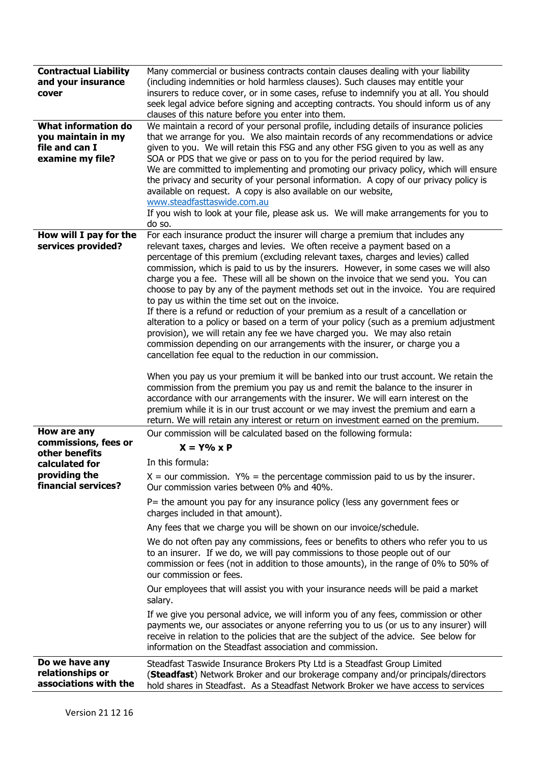| <b>Contractual Liability</b><br>and your insurance<br>cover                     | Many commercial or business contracts contain clauses dealing with your liability<br>(including indemnities or hold harmless clauses). Such clauses may entitle your<br>insurers to reduce cover, or in some cases, refuse to indemnify you at all. You should<br>seek legal advice before signing and accepting contracts. You should inform us of any<br>clauses of this nature before you enter into them.                                                                                                                                                                                                                                                                                                                                                                                                                                                                                                                                                                                                                                                                                                                                                                                                                                                                                                                                                                                                               |
|---------------------------------------------------------------------------------|-----------------------------------------------------------------------------------------------------------------------------------------------------------------------------------------------------------------------------------------------------------------------------------------------------------------------------------------------------------------------------------------------------------------------------------------------------------------------------------------------------------------------------------------------------------------------------------------------------------------------------------------------------------------------------------------------------------------------------------------------------------------------------------------------------------------------------------------------------------------------------------------------------------------------------------------------------------------------------------------------------------------------------------------------------------------------------------------------------------------------------------------------------------------------------------------------------------------------------------------------------------------------------------------------------------------------------------------------------------------------------------------------------------------------------|
| What information do<br>you maintain in my<br>file and can I<br>examine my file? | We maintain a record of your personal profile, including details of insurance policies<br>that we arrange for you. We also maintain records of any recommendations or advice<br>given to you. We will retain this FSG and any other FSG given to you as well as any<br>SOA or PDS that we give or pass on to you for the period required by law.<br>We are committed to implementing and promoting our privacy policy, which will ensure<br>the privacy and security of your personal information. A copy of our privacy policy is<br>available on request. A copy is also available on our website,<br>www.steadfasttaswide.com.au<br>If you wish to look at your file, please ask us. We will make arrangements for you to<br>do so.                                                                                                                                                                                                                                                                                                                                                                                                                                                                                                                                                                                                                                                                                      |
| How will I pay for the<br>services provided?                                    | For each insurance product the insurer will charge a premium that includes any<br>relevant taxes, charges and levies. We often receive a payment based on a<br>percentage of this premium (excluding relevant taxes, charges and levies) called<br>commission, which is paid to us by the insurers. However, in some cases we will also<br>charge you a fee. These will all be shown on the invoice that we send you. You can<br>choose to pay by any of the payment methods set out in the invoice. You are required<br>to pay us within the time set out on the invoice.<br>If there is a refund or reduction of your premium as a result of a cancellation or<br>alteration to a policy or based on a term of your policy (such as a premium adjustment<br>provision), we will retain any fee we have charged you. We may also retain<br>commission depending on our arrangements with the insurer, or charge you a<br>cancellation fee equal to the reduction in our commission.<br>When you pay us your premium it will be banked into our trust account. We retain the<br>commission from the premium you pay us and remit the balance to the insurer in<br>accordance with our arrangements with the insurer. We will earn interest on the<br>premium while it is in our trust account or we may invest the premium and earn a<br>return. We will retain any interest or return on investment earned on the premium. |
| How are any<br>commissions, fees or<br>other benefits<br>calculated for         | Our commission will be calculated based on the following formula:<br>$X = Y\% \times P$<br>In this formula:                                                                                                                                                                                                                                                                                                                                                                                                                                                                                                                                                                                                                                                                                                                                                                                                                                                                                                                                                                                                                                                                                                                                                                                                                                                                                                                 |
| providing the<br>financial services?                                            | $X =$ our commission. $Y\% =$ the percentage commission paid to us by the insurer.<br>Our commission varies between 0% and 40%.<br>P= the amount you pay for any insurance policy (less any government fees or<br>charges included in that amount).                                                                                                                                                                                                                                                                                                                                                                                                                                                                                                                                                                                                                                                                                                                                                                                                                                                                                                                                                                                                                                                                                                                                                                         |
|                                                                                 | Any fees that we charge you will be shown on our invoice/schedule.<br>We do not often pay any commissions, fees or benefits to others who refer you to us<br>to an insurer. If we do, we will pay commissions to those people out of our<br>commission or fees (not in addition to those amounts), in the range of 0% to 50% of<br>our commission or fees.                                                                                                                                                                                                                                                                                                                                                                                                                                                                                                                                                                                                                                                                                                                                                                                                                                                                                                                                                                                                                                                                  |
|                                                                                 | Our employees that will assist you with your insurance needs will be paid a market<br>salary.                                                                                                                                                                                                                                                                                                                                                                                                                                                                                                                                                                                                                                                                                                                                                                                                                                                                                                                                                                                                                                                                                                                                                                                                                                                                                                                               |
|                                                                                 | If we give you personal advice, we will inform you of any fees, commission or other<br>payments we, our associates or anyone referring you to us (or us to any insurer) will<br>receive in relation to the policies that are the subject of the advice. See below for<br>information on the Steadfast association and commission.                                                                                                                                                                                                                                                                                                                                                                                                                                                                                                                                                                                                                                                                                                                                                                                                                                                                                                                                                                                                                                                                                           |
| Do we have any<br>relationships or<br>associations with the                     | Steadfast Taswide Insurance Brokers Pty Ltd is a Steadfast Group Limited<br>(Steadfast) Network Broker and our brokerage company and/or principals/directors<br>hold shares in Steadfast. As a Steadfast Network Broker we have access to services                                                                                                                                                                                                                                                                                                                                                                                                                                                                                                                                                                                                                                                                                                                                                                                                                                                                                                                                                                                                                                                                                                                                                                          |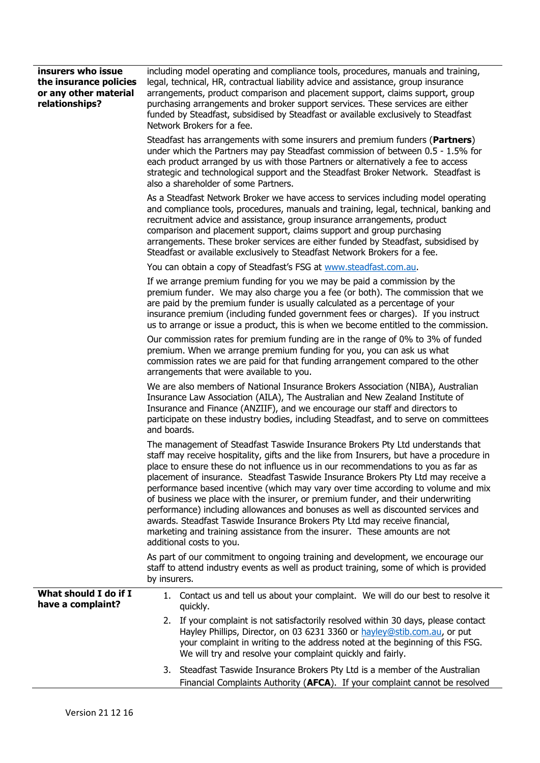| insurers who issue<br>the insurance policies<br>or any other material<br>relationships? | including model operating and compliance tools, procedures, manuals and training,<br>legal, technical, HR, contractual liability advice and assistance, group insurance<br>arrangements, product comparison and placement support, claims support, group<br>purchasing arrangements and broker support services. These services are either<br>funded by Steadfast, subsidised by Steadfast or available exclusively to Steadfast<br>Network Brokers for a fee.                                                                                                                                                                                                                                                                                                                                           |
|-----------------------------------------------------------------------------------------|----------------------------------------------------------------------------------------------------------------------------------------------------------------------------------------------------------------------------------------------------------------------------------------------------------------------------------------------------------------------------------------------------------------------------------------------------------------------------------------------------------------------------------------------------------------------------------------------------------------------------------------------------------------------------------------------------------------------------------------------------------------------------------------------------------|
|                                                                                         | Steadfast has arrangements with some insurers and premium funders (Partners)<br>under which the Partners may pay Steadfast commission of between 0.5 - 1.5% for<br>each product arranged by us with those Partners or alternatively a fee to access<br>strategic and technological support and the Steadfast Broker Network. Steadfast is<br>also a shareholder of some Partners.                                                                                                                                                                                                                                                                                                                                                                                                                        |
|                                                                                         | As a Steadfast Network Broker we have access to services including model operating<br>and compliance tools, procedures, manuals and training, legal, technical, banking and<br>recruitment advice and assistance, group insurance arrangements, product<br>comparison and placement support, claims support and group purchasing<br>arrangements. These broker services are either funded by Steadfast, subsidised by<br>Steadfast or available exclusively to Steadfast Network Brokers for a fee.                                                                                                                                                                                                                                                                                                      |
|                                                                                         | You can obtain a copy of Steadfast's FSG at www.steadfast.com.au.                                                                                                                                                                                                                                                                                                                                                                                                                                                                                                                                                                                                                                                                                                                                        |
|                                                                                         | If we arrange premium funding for you we may be paid a commission by the<br>premium funder. We may also charge you a fee (or both). The commission that we<br>are paid by the premium funder is usually calculated as a percentage of your<br>insurance premium (including funded government fees or charges). If you instruct<br>us to arrange or issue a product, this is when we become entitled to the commission.                                                                                                                                                                                                                                                                                                                                                                                   |
|                                                                                         | Our commission rates for premium funding are in the range of 0% to 3% of funded<br>premium. When we arrange premium funding for you, you can ask us what<br>commission rates we are paid for that funding arrangement compared to the other<br>arrangements that were available to you.                                                                                                                                                                                                                                                                                                                                                                                                                                                                                                                  |
|                                                                                         | We are also members of National Insurance Brokers Association (NIBA), Australian<br>Insurance Law Association (AILA), The Australian and New Zealand Institute of<br>Insurance and Finance (ANZIIF), and we encourage our staff and directors to<br>participate on these industry bodies, including Steadfast, and to serve on committees<br>and boards.                                                                                                                                                                                                                                                                                                                                                                                                                                                 |
|                                                                                         | The management of Steadfast Taswide Insurance Brokers Pty Ltd understands that<br>staff may receive hospitality, gifts and the like from Insurers, but have a procedure in<br>place to ensure these do not influence us in our recommendations to you as far as<br>placement of insurance. Steadfast Taswide Insurance Brokers Pty Ltd may receive a<br>performance based incentive (which may vary over time according to volume and mix<br>of business we place with the insurer, or premium funder, and their underwriting<br>performance) including allowances and bonuses as well as discounted services and<br>awards. Steadfast Taswide Insurance Brokers Pty Ltd may receive financial,<br>marketing and training assistance from the insurer. These amounts are not<br>additional costs to you. |
|                                                                                         | As part of our commitment to ongoing training and development, we encourage our<br>staff to attend industry events as well as product training, some of which is provided<br>by insurers.                                                                                                                                                                                                                                                                                                                                                                                                                                                                                                                                                                                                                |
| What should I do if I<br>have a complaint?                                              | 1. Contact us and tell us about your complaint. We will do our best to resolve it<br>quickly.                                                                                                                                                                                                                                                                                                                                                                                                                                                                                                                                                                                                                                                                                                            |
|                                                                                         | 2. If your complaint is not satisfactorily resolved within 30 days, please contact<br>Hayley Phillips, Director, on 03 6231 3360 or hayley@stib.com.au, or put<br>your complaint in writing to the address noted at the beginning of this FSG.<br>We will try and resolve your complaint quickly and fairly.                                                                                                                                                                                                                                                                                                                                                                                                                                                                                             |
|                                                                                         | 3. Steadfast Taswide Insurance Brokers Pty Ltd is a member of the Australian<br>Financial Complaints Authority (AFCA). If your complaint cannot be resolved                                                                                                                                                                                                                                                                                                                                                                                                                                                                                                                                                                                                                                              |